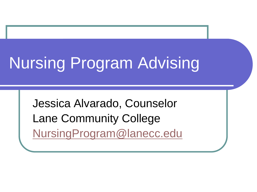# Nursing Program Advising

Jessica Alvarado, Counselor Lane Community College [NursingProgram@lanecc.edu](mailto:NursingProgram@lanecc.edu)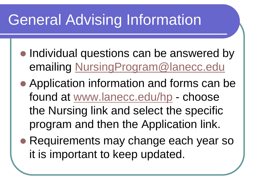### General Advising Information

- Individual questions can be answered by emailing [NursingProgram@lanecc.edu](mailto:NursingProgram@lanecc.edu)
- Application information and forms can be found at [www.lanecc.edu/hp](http://www.lanecc.edu/hp) - choose the Nursing link and select the specific program and then the Application link.
- Requirements may change each year so it is important to keep updated.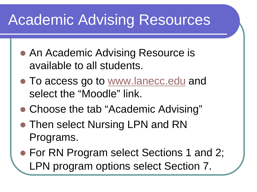### Academic Advising Resources

- An Academic Advising Resource is available to all students.
- To access go to [www.lanecc.edu](http://www.lanecc.edu) and select the "Moodle" link.
- Choose the tab "Academic Advising"
- Then select Nursing LPN and RN Programs.
- For RN Program select Sections 1 and 2; LPN program options select Section 7.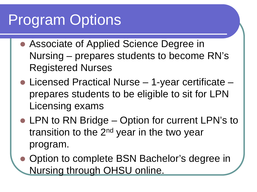### Program Options

- Associate of Applied Science Degree in Nursing – prepares students to become RN's Registered Nurses
- Licensed Practical Nurse 1-year certificate prepares students to be eligible to sit for LPN Licensing exams
- LPN to RN Bridge Option for current LPN's to transition to the 2<sup>nd</sup> year in the two year program.
- Option to complete BSN Bachelor's degree in Nursing through OHSU online.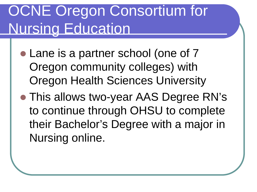### OCNE Oregon Consortium for Nursing Education

- Lane is a partner school (one of 7 Oregon community colleges) with Oregon Health Sciences University
- This allows two-year AAS Degree RN's to continue through OHSU to complete their Bachelor's Degree with a major in Nursing online.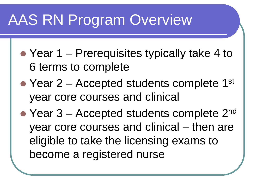### AAS RN Program Overview

- Year 1 Prerequisites typically take 4 to 6 terms to complete
- Year  $2$  Accepted students complete 1<sup>st</sup> year core courses and clinical
- Year  $3$  Accepted students complete  $2^{nd}$ year core courses and clinical – then are eligible to take the licensing exams to become a registered nurse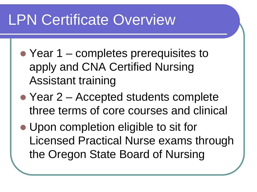### LPN Certificate Overview

- Year 1 completes prerequisites to apply and CNA Certified Nursing Assistant training
- Year 2 Accepted students complete three terms of core courses and clinical
- Upon completion eligible to sit for Licensed Practical Nurse exams through the Oregon State Board of Nursing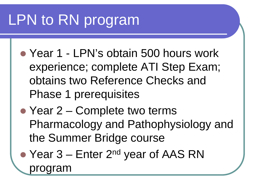## LPN to RN program

- Year 1 LPN's obtain 500 hours work experience; complete ATI Step Exam; obtains two Reference Checks and Phase 1 prerequisites
- Year 2 Complete two terms Pharmacology and Pathophysiology and the Summer Bridge course
- Year 3 Enter 2<sup>nd</sup> year of AAS RN program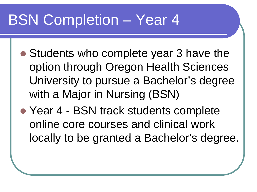### BSN Completion – Year 4

- Students who complete year 3 have the option through Oregon Health Sciences University to pursue a Bachelor's degree with a Major in Nursing (BSN)
- Year 4 BSN track students complete online core courses and clinical work locally to be granted a Bachelor's degree.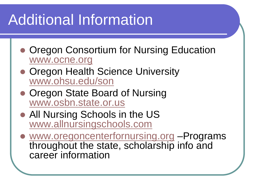## Additional Information

- Oregon Consortium for Nursing Education [www.ocne.org](http://www.ocne.org/)
- **Oregon Health Science University** [www.ohsu.edu/son](http://www.ohsu.edu/son)
- Oregon State Board of Nursing [www.osbn.state.or.us](http://www.osbn.state.or.us/)
- All Nursing Schools in the US [www.allnursingschools.com](http://www.allnursingschools.com/)
- [www.oregoncenterfornursing.org](http://www.oregoncenterfornursing.org/) –Programs throughout the state, scholarship info and career information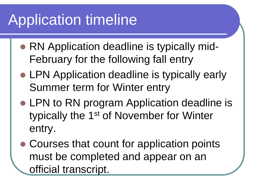## Application timeline

- RN Application deadline is typically mid-February for the following fall entry
- LPN Application deadline is typically early Summer term for Winter entry
- LPN to RN program Application deadline is typically the 1st of November for Winter entry.
- Courses that count for application points must be completed and appear on an official transcript.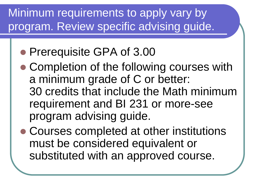Minimum requirements to apply vary by program. Review specific advising guide.

- Prerequisite GPA of 3.00
- Completion of the following courses with a minimum grade of C or better: 30 credits that include the Math minimum requirement and BI 231 or more-see program advising guide.
- Courses completed at other institutions must be considered equivalent or substituted with an approved course.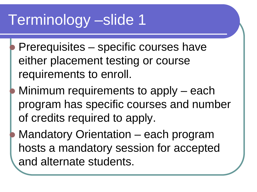- Prerequisites specific courses have either placement testing or course requirements to enroll.
- Minimum requirements to apply each program has specific courses and number of credits required to apply.
- Mandatory Orientation each program hosts a mandatory session for accepted and alternate students.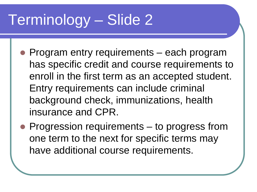- Program entry requirements each program has specific credit and course requirements to enroll in the first term as an accepted student. Entry requirements can include criminal background check, immunizations, health insurance and CPR.
- Progression requirements to progress from one term to the next for specific terms may have additional course requirements.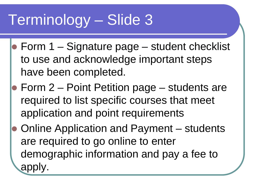- $\bullet$  Form 1 Signature page student checklist to use and acknowledge important steps have been completed.
- **Form 2 Point Petition page students are** required to list specific courses that meet application and point requirements
- Online Application and Payment students are required to go online to enter demographic information and pay a fee to apply.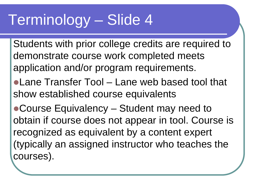Students with prior college credits are required to demonstrate course work completed meets application and/or program requirements.

Lane Transfer Tool – Lane web based tool that show established course equivalents

Course Equivalency – Student may need to obtain if course does not appear in tool. Course is recognized as equivalent by a content expert (typically an assigned instructor who teaches the courses).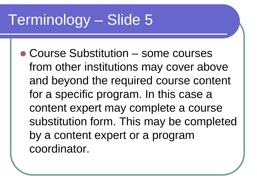Course Substitution – some courses from other institutions may cover above and beyond the required course content for a specific program. In this case a content expert may complete a course substitution form. This may be completed by a content expert or a program coordinator.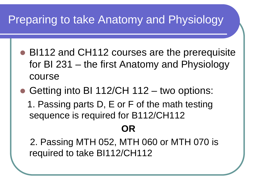#### Preparing to take Anatomy and Physiology

- BI112 and CH112 courses are the prerequisite for BI 231 – the first Anatomy and Physiology course
- Getting into BI 112/CH 112 two options: 1. Passing parts D, E or F of the math testing sequence is required for B112/CH112

#### **OR**

 2. Passing MTH 052, MTH 060 or MTH 070 is required to take BI112/CH112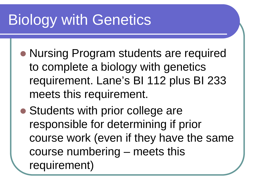## Biology with Genetics

- Nursing Program students are required to complete a biology with genetics requirement. Lane's BI 112 plus BI 233 meets this requirement.
- Students with prior college are responsible for determining if prior course work (even if they have the same course numbering – meets this requirement)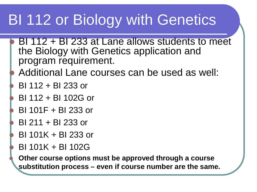### BI 112 or Biology with Genetics

- BI 112 + BI 233 at Lane allows students to meet the Biology with Genetics application and program requirement.
- Additional Lane courses can be used as well:
- BI 112 + BI 233 or
- BI 112 + BI 102G or
- BI 101F + BI 233 or
- BI 211 + BI 233 or
- BI 101K + BI 233 or
- BI 101K + BI 102G

 **Other course options must be approved through a course substitution process – even if course number are the same.**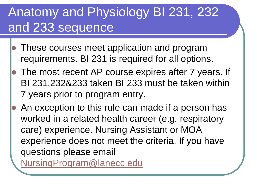### Anatomy and Physiology BI 231, 232 and 233 sequence

- These courses meet application and program requirements. BI 231 is required for all options.
- The most recent AP course expires after 7 years. If BI 231,232&233 taken BI 233 must be taken within 7 years prior to program entry.
- An exception to this rule can made if a person has worked in a related health career (e.g. respiratory care) experience. Nursing Assistant or MOA experience does not meet the criteria. If you have questions please email [NursingProgram@lanecc.edu](mailto:NursingProgram@lanecc.edu)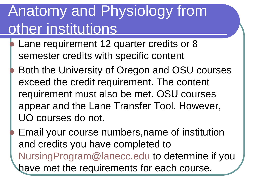### Anatomy and Physiology from other institutions

- Lane requirement 12 quarter credits or 8 semester credits with specific content
- Both the University of Oregon and OSU courses exceed the credit requirement. The content requirement must also be met. OSU courses appear and the Lane Transfer Tool. However, UO courses do not.

 Email your course numbers,name of institution and credits you have completed to [NursingProgram@lanecc.edu](mailto:NursingProgram@lanecc.edu) to determine if you have met the requirements for each course.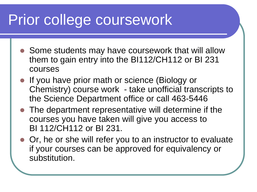### Prior college coursework

- Some students may have coursework that will allow them to gain entry into the BI112/CH112 or BI 231 courses
- **If you have prior math or science (Biology or** Chemistry) course work - take unofficial transcripts to the Science Department office or call 463-5446
- The department representative will determine if the courses you have taken will give you access to BI 112/CH112 or BI 231.
- Or, he or she will refer you to an instructor to evaluate if your courses can be approved for equivalency or substitution.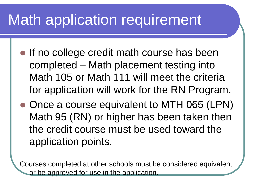### Math application requirement

- If no college credit math course has been completed – Math placement testing into Math 105 or Math 111 will meet the criteria for application will work for the RN Program.
- Once a course equivalent to MTH 065 (LPN) Math 95 (RN) or higher has been taken then the credit course must be used toward the application points.

Courses completed at other schools must be considered equivalent or be approved for use in the application.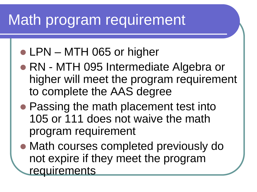### Math program requirement

- LPN MTH 065 or higher
- RN MTH 095 Intermediate Algebra or higher will meet the program requirement to complete the AAS degree
- **Passing the math placement test into** 105 or 111 does not waive the math program requirement
- Math courses completed previously do not expire if they meet the program requirements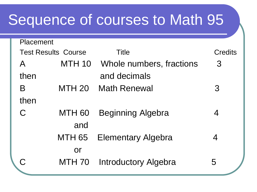### Sequence of courses to Math 95

Placement

| Placement                  |               |                                 |                |  |
|----------------------------|---------------|---------------------------------|----------------|--|
| <b>Test Results Course</b> |               | Title                           | <b>Credits</b> |  |
| $\overline{\mathsf{A}}$    |               | MTH 10 Whole numbers, fractions | $\mathcal{S}$  |  |
| then                       |               | and decimals                    |                |  |
| B                          | <b>MTH 20</b> | <b>Math Renewal</b>             | $\mathcal{S}$  |  |
| then                       |               |                                 |                |  |
|                            | MTH 60        | <b>Beginning Algebra</b>        | 4              |  |
|                            | and           |                                 |                |  |
|                            | MTH 65        | <b>Elementary Algebra</b>       | 4              |  |
|                            | <b>or</b>     |                                 |                |  |
|                            |               | MTH 70 Introductory Algebra     | 5              |  |
|                            |               |                                 |                |  |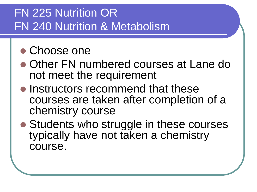#### FN 225 Nutrition OR FN 240 Nutrition & Metabolism

#### • Choose one

- Other FN numbered courses at Lane do not meet the requirement
- Instructors recommend that these courses are taken after completion of a chemistry course
- Students who struggle in these courses typically have not taken a chemistry course.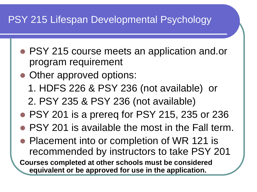#### PSY 215 Lifespan Developmental Psychology

- PSY 215 course meets an application and.or program requirement
- Other approved options:
	- 1. HDFS 226 & PSY 236 (not available) or
	- 2. PSY 235 & PSY 236 (not available)
- PSY 201 is a prereq for PSY 215, 235 or 236
- PSY 201 is available the most in the Fall term.
- Placement into or completion of WR 121 is recommended by instructors to take PSY 201

**Courses completed at other schools must be considered equivalent or be approved for use in the application.**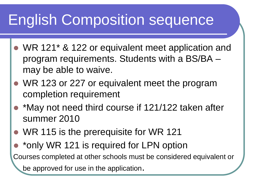### English Composition sequence

- WR 121<sup>\*</sup> & 122 or equivalent meet application and program requirements. Students with a BS/BA – may be able to waive.
- WR 123 or 227 or equivalent meet the program completion requirement
- \*May not need third course if 121/122 taken after summer 2010
- WR 115 is the prerequisite for WR 121
- \*only WR 121 is required for LPN option

Courses completed at other schools must be considered equivalent or

be approved for use in the application.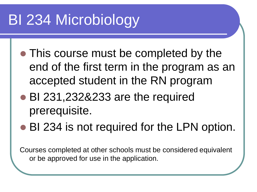## BI 234 Microbiology

- This course must be completed by the end of the first term in the program as an accepted student in the RN program
- BI 231,232&233 are the required prerequisite.
- BI 234 is not required for the LPN option.

Courses completed at other schools must be considered equivalent or be approved for use in the application.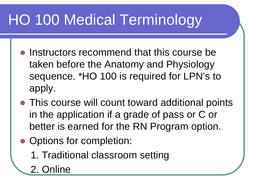## HO 100 Medical Terminology

- Instructors recommend that this course be taken before the Anatomy and Physiology sequence. \*HO 100 is required for LPN's to apply.
- This course will count toward additional points in the application if a grade of pass or C or better is earned for the RN Program option.
- Options for completion:
	- 1. Traditional classroom setting
	- 2. Online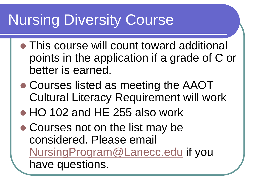### Nursing Diversity Course

- This course will count toward additional points in the application if a grade of C or better is earned.
- Courses listed as meeting the AAOT Cultural Literacy Requirement will work
- HO 102 and HE 255 also work
- Courses not on the list may be considered. Please email [NursingProgram@Lanecc.edu](mailto:NursingProgram@Lanecc.edu) if you have questions.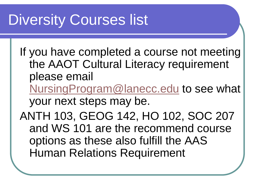### Diversity Courses list

If you have completed a course not meeting the AAOT Cultural Literacy requirement please email [NursingProgram@lanecc.edu](mailto:NursingProgram@lanecc.edu) to see what your next steps may be. ANTH 103, GEOG 142, HO 102, SOC 207 and WS 101 are the recommend course options as these also fulfill the AAS Human Relations Requirement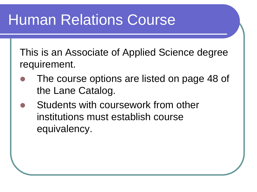### Human Relations Course

This is an Associate of Applied Science degree requirement.

- The course options are listed on page 48 of the Lane Catalog.
- Students with coursework from other institutions must establish course equivalency.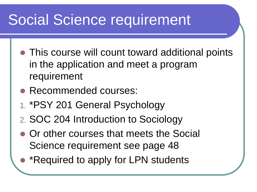### Social Science requirement

- This course will count toward additional points in the application and meet a program requirement
- Recommended courses:
- 1. \*PSY 201 General Psychology
- 2. SOC 204 Introduction to Sociology
- Or other courses that meets the Social Science requirement see page 48
- \*Required to apply for LPN students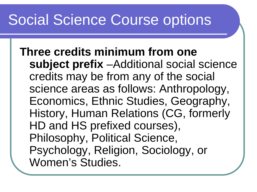### Social Science Course options

**Three credits minimum from one subject prefix** –Additional social science credits may be from any of the social science areas as follows: Anthropology, Economics, Ethnic Studies, Geography, History, Human Relations (CG, formerly HD and HS prefixed courses), Philosophy, Political Science, Psychology, Religion, Sociology, or Women's Studies.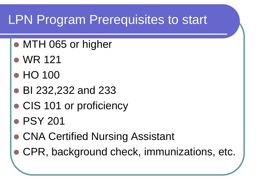### LPN Program Prerequisites to start

- MTH 065 or higher
- WR 121
- HO 100
- BI 232,232 and 233
- CIS 101 or proficiency
- PSY 201
- **CNA Certified Nursing Assistant**
- CPR, background check, immunizations, etc.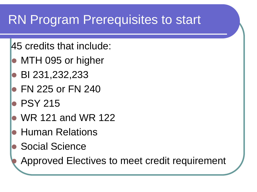### RN Program Prerequisites to start

- 45 credits that include:
- MTH 095 or higher
- **BI 231,232,233**
- FN 225 or FN 240
- PSY 215
- WR 121 and WR 122
- **Human Relations**
- Social Science
	- Approved Electives to meet credit requirement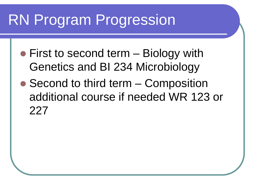### RN Program Progression

- First to second term Biology with Genetics and BI 234 Microbiology
- Second to third term Composition additional course if needed WR 123 or 227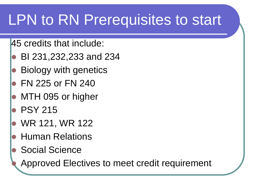### LPN to RN Prerequisites to start

45 credits that include:

- BI 231,232,233 and 234
- Biology with genetics
- FN 225 or FN 240
- **MTH 095 or higher**
- PSY 215
- WR 121, WR 122
- Human Relations
- Social Science
	- Approved Electives to meet credit requirement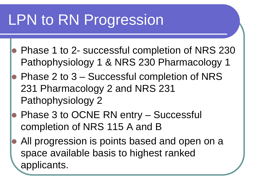## LPN to RN Progression

- Phase 1 to 2- successful completion of NRS 230 Pathophysiology 1 & NRS 230 Pharmacology 1
- Phase 2 to 3 Successful completion of NRS 231 Pharmacology 2 and NRS 231 Pathophysiology 2
- Phase 3 to OCNE RN entry Successful completion of NRS 115 A and B
- All progression is points based and open on a space available basis to highest ranked applicants.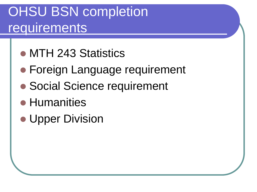### OHSU BSN completion requirements

- MTH 243 Statistics
- Foreign Language requirement
- Social Science requirement
- **Humanities**
- **Upper Division**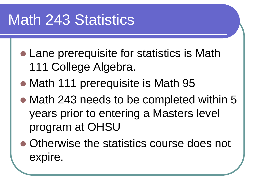### Math 243 Statistics

- Lane prerequisite for statistics is Math 111 College Algebra.
- Math 111 prerequisite is Math 95
- Math 243 needs to be completed within 5 years prior to entering a Masters level program at OHSU
- Otherwise the statistics course does not expire.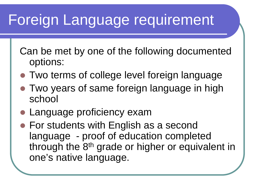### Foreign Language requirement

Can be met by one of the following documented options:

- Two terms of college level foreign language
- Two years of same foreign language in high school
- Language proficiency exam
- For students with English as a second language - proof of education completed through the 8<sup>th</sup> grade or higher or equivalent in one's native language.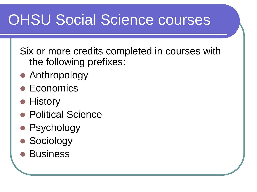### OHSU Social Science courses

Six or more credits completed in courses with the following prefixes:

- Anthropology
- Economics
- History
- **Political Science**
- Psychology
- Sociology
- **Business**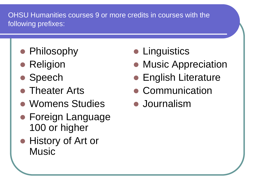OHSU Humanities courses 9 or more credits in courses with the following prefixes:

- Philosophy
- Religion
- Speech
- **Theater Arts**
- Womens Studies
- **Foreign Language** 100 or higher
- History of Art or **Music**
- **Linguistics**
- Music Appreciation
- **English Literature**
- Communication
- **Journalism**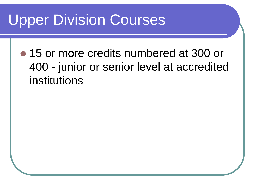### Upper Division Courses

• 15 or more credits numbered at 300 or 400 - junior or senior level at accredited institutions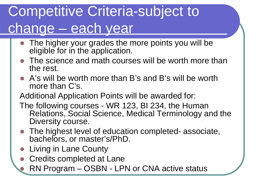### Competitive Criteria-subject to change – each year

- The higher your grades the more points you will be eligible for in the application.
- The science and math courses will be worth more than the rest.
- A's will be worth more than B's and B's will be worth more than C's.

Additional Application Points will be awarded for:

- The following courses WR 123, BI 234, the Human Relations, Social Science, Medical Terminology and the Diversity course.
- The highest level of education completed- associate, bachelors, or master's/PhD.
- Living in Lane County
- Credits completed at Lane
	- RN Program OSBN LPN or CNA active status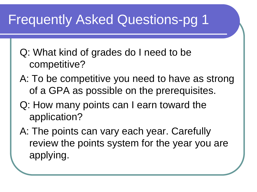### Frequently Asked Questions-pg 1

- Q: What kind of grades do I need to be competitive?
- A: To be competitive you need to have as strong of a GPA as possible on the prerequisites.
- Q: How many points can I earn toward the application?
- A: The points can vary each year. Carefully review the points system for the year you are applying.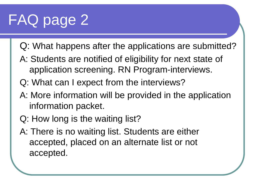## FAQ page 2

- Q: What happens after the applications are submitted?
- A: Students are notified of eligibility for next state of application screening. RN Program-interviews.
- Q: What can I expect from the interviews?
- A: More information will be provided in the application information packet.
- Q: How long is the waiting list?
- A: There is no waiting list. Students are either accepted, placed on an alternate list or not accepted.